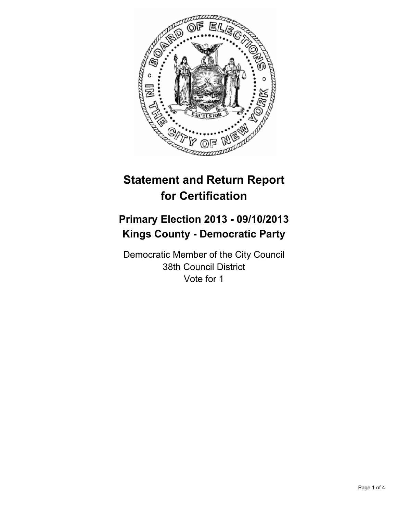

# **Statement and Return Report for Certification**

## **Primary Election 2013 - 09/10/2013 Kings County - Democratic Party**

Democratic Member of the City Council 38th Council District Vote for 1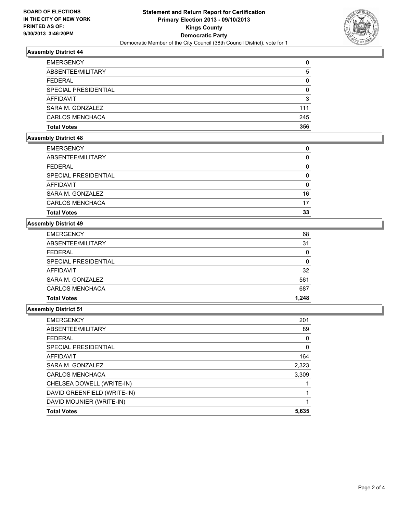

### **Assembly District 44**

| <b>EMERGENCY</b>     | 0        |
|----------------------|----------|
| ABSENTEE/MILITARY    | 5        |
| <b>FEDERAL</b>       | 0        |
| SPECIAL PRESIDENTIAL | $\Omega$ |
| AFFIDAVIT            | 3        |
| SARA M. GONZALEZ     | 111      |
| CARLOS MENCHACA      | 245      |
| <b>Total Votes</b>   | 356      |

## **Assembly District 48**

| 17       |
|----------|
|          |
| 16       |
| $\Omega$ |
| 0        |
| 0        |
| 0        |
| 0        |
|          |

### **Assembly District 49**

| <b>Total Votes</b>     | 1.248 |
|------------------------|-------|
| <b>CARLOS MENCHACA</b> | 687   |
| SARA M. GONZALEZ       | 561   |
| AFFIDAVIT              | 32    |
| SPECIAL PRESIDENTIAL   | 0     |
| <b>FEDERAL</b>         | 0     |
| ABSENTEE/MILITARY      | 31    |
| <b>EMERGENCY</b>       | 68    |

#### **Assembly District 51**

| <b>EMERGENCY</b>            | 201      |
|-----------------------------|----------|
| ABSENTEE/MILITARY           | 89       |
| <b>FEDERAL</b>              | $\Omega$ |
| SPECIAL PRESIDENTIAL        | $\Omega$ |
| AFFIDAVIT                   | 164      |
| SARA M. GONZALEZ            | 2,323    |
| <b>CARLOS MENCHACA</b>      | 3,309    |
| CHELSEA DOWELL (WRITE-IN)   |          |
| DAVID GREENFIELD (WRITE-IN) |          |
| DAVID MOUNIER (WRITE-IN)    |          |
| <b>Total Votes</b>          | 5,635    |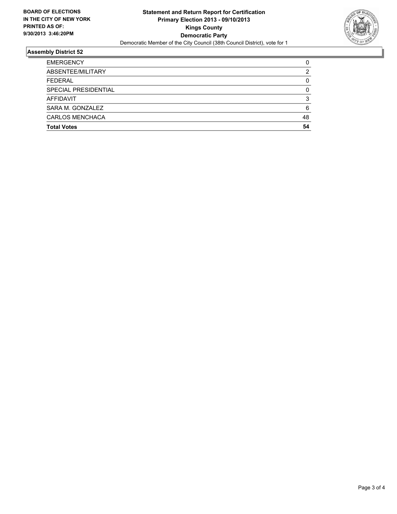

#### **Assembly District 52**

| <b>Total Votes</b>   | 54 |
|----------------------|----|
| CARLOS MENCHACA      | 48 |
| SARA M. GONZALEZ     | 6  |
| <b>AFFIDAVIT</b>     | 3  |
| SPECIAL PRESIDENTIAL | 0  |
| <b>FEDERAL</b>       | 0  |
| ABSENTEE/MILITARY    | 2  |
| <b>EMERGENCY</b>     |    |